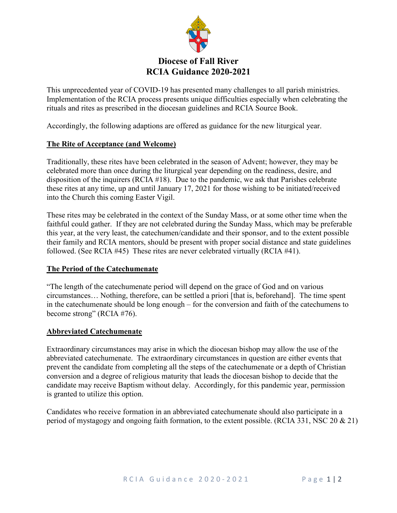

## **Diocese of Fall River RCIA Guidance 2020-2021**

This unprecedented year of COVID-19 has presented many challenges to all parish ministries. Implementation of the RCIA process presents unique difficulties especially when celebrating the rituals and rites as prescribed in the diocesan guidelines and RCIA Source Book.

Accordingly, the following adaptions are offered as guidance for the new liturgical year.

#### **The Rite of Acceptance (and Welcome)**

Traditionally, these rites have been celebrated in the season of Advent; however, they may be celebrated more than once during the liturgical year depending on the readiness, desire, and disposition of the inquirers (RCIA #18). Due to the pandemic, we ask that Parishes celebrate these rites at any time, up and until January 17, 2021 for those wishing to be initiated/received into the Church this coming Easter Vigil.

These rites may be celebrated in the context of the Sunday Mass, or at some other time when the faithful could gather. If they are not celebrated during the Sunday Mass, which may be preferable this year, at the very least, the catechumen/candidate and their sponsor, and to the extent possible their family and RCIA mentors, should be present with proper social distance and state guidelines followed. (See RCIA #45) These rites are never celebrated virtually (RCIA #41).

#### **The Period of the Catechumenate**

"The length of the catechumenate period will depend on the grace of God and on various circumstances… Nothing, therefore, can be settled a priori [that is, beforehand]. The time spent in the catechumenate should be long enough – for the conversion and faith of the catechumens to become strong" (RCIA #76).

#### **Abbreviated Catechumenate**

Extraordinary circumstances may arise in which the diocesan bishop may allow the use of the abbreviated catechumenate. The extraordinary circumstances in question are either events that prevent the candidate from completing all the steps of the catechumenate or a depth of Christian conversion and a degree of religious maturity that leads the diocesan bishop to decide that the candidate may receive Baptism without delay. Accordingly, for this pandemic year, permission is granted to utilize this option.

Candidates who receive formation in an abbreviated catechumenate should also participate in a period of mystagogy and ongoing faith formation, to the extent possible. (RCIA 331, NSC 20 & 21)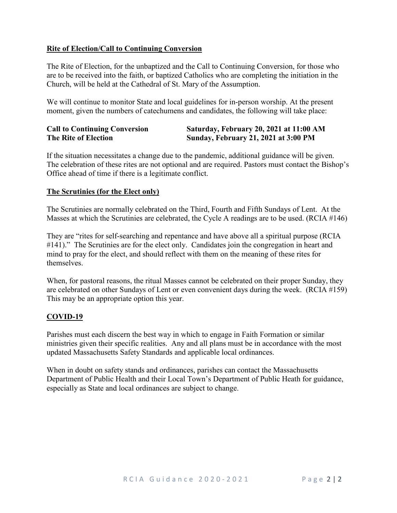#### **Rite of Election/Call to Continuing Conversion**

The Rite of Election, for the unbaptized and the Call to Continuing Conversion, for those who are to be received into the faith, or baptized Catholics who are completing the initiation in the Church, will be held at the Cathedral of St. Mary of the Assumption.

We will continue to monitor State and local guidelines for in-person worship. At the present moment, given the numbers of catechumens and candidates, the following will take place:

| <b>Call to Continuing Conversion</b> | Saturday, February 20, 2021 at 11:00 AM     |
|--------------------------------------|---------------------------------------------|
| <b>The Rite of Election</b>          | <b>Sunday, February 21, 2021 at 3:00 PM</b> |

If the situation necessitates a change due to the pandemic, additional guidance will be given. The celebration of these rites are not optional and are required. Pastors must contact the Bishop's Office ahead of time if there is a legitimate conflict.

#### **The Scrutinies (for the Elect only)**

The Scrutinies are normally celebrated on the Third, Fourth and Fifth Sundays of Lent. At the Masses at which the Scrutinies are celebrated, the Cycle A readings are to be used. (RCIA #146)

They are "rites for self-searching and repentance and have above all a spiritual purpose (RCIA #141)." The Scrutinies are for the elect only. Candidates join the congregation in heart and mind to pray for the elect, and should reflect with them on the meaning of these rites for themselves.

When, for pastoral reasons, the ritual Masses cannot be celebrated on their proper Sunday, they are celebrated on other Sundays of Lent or even convenient days during the week. (RCIA #159) This may be an appropriate option this year.

#### **COVID-19**

Parishes must each discern the best way in which to engage in Faith Formation or similar ministries given their specific realities. Any and all plans must be in accordance with the most updated Massachusetts Safety Standards and applicable local ordinances.

When in doubt on safety stands and ordinances, parishes can contact the Massachusetts Department of Public Health and their Local Town's Department of Public Heath for guidance, especially as State and local ordinances are subject to change.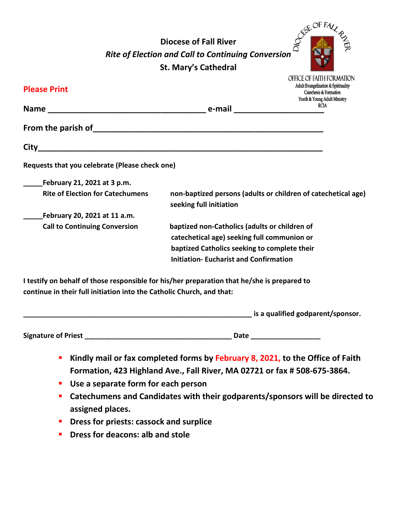# **Diocese of Fall River** *Rite of Election and Call to Continuing Conversion* **St. Mary's Cathedral**



OFFICE OF FAITH FORMATION

| <b>Please Print</b>                            | Adult Evangelization & Spirituality<br>Catechesis & Formation<br>Youth & Young Adult Ministry |                                                                                                                        |
|------------------------------------------------|-----------------------------------------------------------------------------------------------|------------------------------------------------------------------------------------------------------------------------|
|                                                | e-mail                                                                                        | RCIA<br>المعلومات المستخدمات المستخدمات المستخدمات المستخدمات المستخدمات المستخدمات المستخدمات المستخدمات المستخدمات ا |
|                                                |                                                                                               |                                                                                                                        |
|                                                |                                                                                               |                                                                                                                        |
| Requests that you celebrate (Please check one) |                                                                                               |                                                                                                                        |
| February 21, 2021 at 3 p.m.                    |                                                                                               |                                                                                                                        |
| <b>Rite of Election for Catechumens</b>        | non-baptized persons (adults or children of catechetical age)<br>seeking full initiation      |                                                                                                                        |
| February 20, 2021 at 11 a.m.                   |                                                                                               |                                                                                                                        |
| <b>Call to Continuing Conversion</b>           | baptized non-Catholics (adults or children of<br>catechetical age) seeking full communion or  |                                                                                                                        |
|                                                | baptized Catholics seeking to complete their<br><b>Initiation-Eucharist and Confirmation</b>  |                                                                                                                        |

**I testify on behalf of those responsible for his/her preparation that he/she is prepared to continue in their full initiation into the Catholic Church, and that:**

|                            | is a qualified godparent/sponsor. |  |
|----------------------------|-----------------------------------|--|
|                            |                                   |  |
| <b>Signature of Priest</b> | Date                              |  |

- **Kindly mail or fax completed forms by February 8, 2021, to the Office of Faith Formation, 423 Highland Ave., Fall River, MA 02721 or fax # 508-675-3864.**
- **Use a separate form for each person**
- **Catechumens and Candidates with their godparents/sponsors will be directed to assigned places.**
- **Dress for priests: cassock and surplice**
- **Dress for deacons: alb and stole**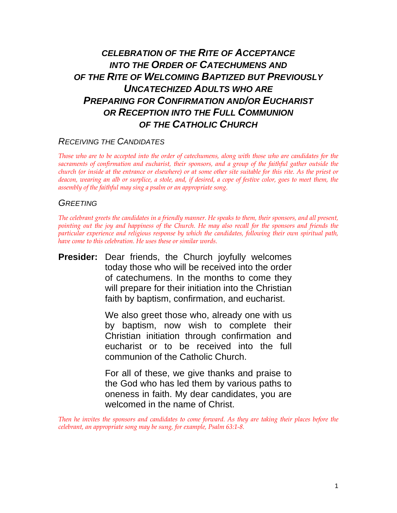# *CELEBRATION OF THE RITE OF ACCEPTANCE INTO THE ORDER OF CATECHUMENS AND OF THE RITE OF WELCOMING BAPTIZED BUT PREVIOUSLY UNCATECHIZED ADULTS WHO ARE PREPARING FOR CONFIRMATION AND/OR EUCHARIST OR RECEPTION INTO THE FULL COMMUNION OF THE CATHOLIC CHURCH*

## *RECEIVING THE CANDIDATES*

*Those who are to be accepted into the order of catechumens, along with those who are candidates for the sacraments of confirmation and eucharist, their sponsors, and a group of the faithful gather outside the church (or inside at the entrance or elsewhere) or at some other site suitable for this rite. As the priest or deacon, wearing an alb or surplice, a stole, and, if desired, a cope of festive color, goes to meet them, the assembly of the faithful may sing a psalm or an appropriate song.* 

## *GREETING*

*The celebrant greets the candidates in a friendly manner. He speaks to them, their sponsors, and all present, pointing out the joy and happiness of the Church. He may also recall for the sponsors and friends the particular experience and religious response by which the candidates, following their own spiritual path, have come to this celebration. He uses these or similar words.* 

**Presider:** Dear friends, the Church joyfully welcomes today those who will be received into the order of catechumens. In the months to come they will prepare for their initiation into the Christian faith by baptism, confirmation, and eucharist.

> We also greet those who, already one with us by baptism, now wish to complete their Christian initiation through confirmation and eucharist or to be received into the full communion of the Catholic Church.

> For all of these, we give thanks and praise to the God who has led them by various paths to oneness in faith. My dear candidates, you are welcomed in the name of Christ.

*Then he invites the sponsors and candidates to come forward. As they are taking their places before the celebrant, an appropriate song may be sung, for example, Psalm 63:1-8.*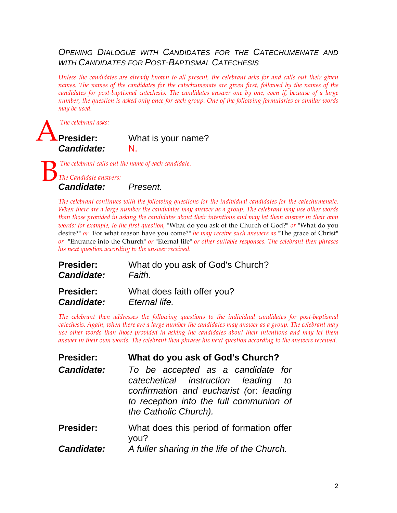## *OPENING DIALOGUE WITH CANDIDATES FOR THE CATECHUMENATE AND WITH CANDIDATES FOR POST-BAPTISMAL CATECHESIS*

*Unless the candidates are already known to all present, the celebrant asks for and calls out their given names. The names of the candidates for the catechumenate are given first, followed by the names of the candidates for post-baptismal catechesis. The candidates answer one by one, even if, because of a large number, the question is asked only once for each group. One of the following formularies or similar words may be used.* 

*The celebrant asks:*<br>**Presider: What is your name?** *Candidate:* N.

*The celebrant calls out the name of each candidate. The Candidate answers:* B *Candidate: Present.* 

*The celebrant continues with the following questions for the individual candidates for the catechumenate. When there are a large number the candidates may answer as a group. The celebrant may use other words than those provided in asking the candidates about their intentions and may let them answer in their own words: for example, to the first question,* "What do you ask of the Church of God?" *or* "What do you desire?" *or* "For what reason have you come?" *he may receive such answers as* "The grace of Christ" *or* "Entrance into the Church" *or* "Eternal life" *or other suitable responses. The celebrant then phrases his next question according to the answer received.* 

| <b>Presider:</b>  | What do you ask of God's Church? |
|-------------------|----------------------------------|
| <b>Candidate:</b> | Faith.                           |

**Presider:** What does faith offer you? *Candidate: Eternal life.* 

*The celebrant then addresses the following questions to the individual candidates for post-baptismal catechesis. Again, when there are a large number the candidates may answer as a group. The celebrant may use other words than those provided in asking the candidates about their intentions and may let them answer in their own words. The celebrant then phrases his next question according to the answers received.* 

| <b>Presider:</b>  | What do you ask of God's Church?                                                                                                                                                           |
|-------------------|--------------------------------------------------------------------------------------------------------------------------------------------------------------------------------------------|
| <b>Candidate:</b> | To be accepted as a candidate for<br>catechetical instruction leading<br>to<br>confirmation and eucharist (or: leading<br>to reception into the full communion of<br>the Catholic Church). |
| <b>Presider:</b>  | What does this period of formation offer<br>you?                                                                                                                                           |
| <b>Candidate:</b> | A fuller sharing in the life of the Church.                                                                                                                                                |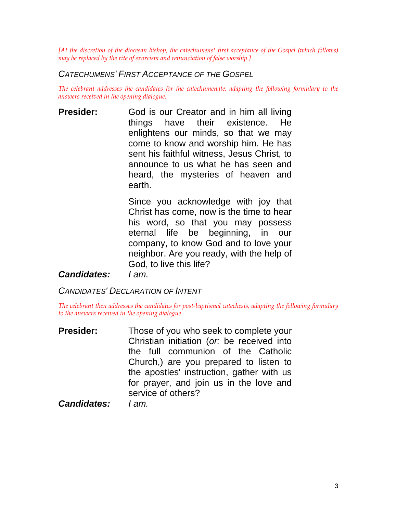*[At the discretion of the diocesan bishop, the catechumens' first acceptance of the Gospel (which follows) may be replaced by the rite of exorcism and renunciation of false worship.]* 

### *CATECHUMENS' FIRST ACCEPTANCE OF THE GOSPEL*

*The celebrant addresses the candidates for the catechumenate, adapting the following formulary to the answers received in the opening dialogue.* 

Presider: God is our Creator and in him all living things have their existence. He enlightens our minds, so that we may come to know and worship him. He has sent his faithful witness, Jesus Christ, to announce to us what he has seen and heard, the mysteries of heaven and earth.

> Since you acknowledge with joy that Christ has come, now is the time to hear his word, so that you may possess eternal life be beginning, in our company, to know God and to love your neighbor. Are you ready, with the help of God, to live this life?

## *Candidates: I am.*

*CANDIDATES' DECLARATION OF INTENT*

*The celebrant then addresses the candidates for post-baptismal catechesis, adapting the following formulary to the answers received in the opening dialogue.* 

**Presider:** Those of you who seek to complete your Christian initiation (*or:* be received into the full communion of the Catholic Church,) are you prepared to listen to the apostles' instruction, gather with us for prayer, and join us in the love and service of others?

*Candidates: I am.*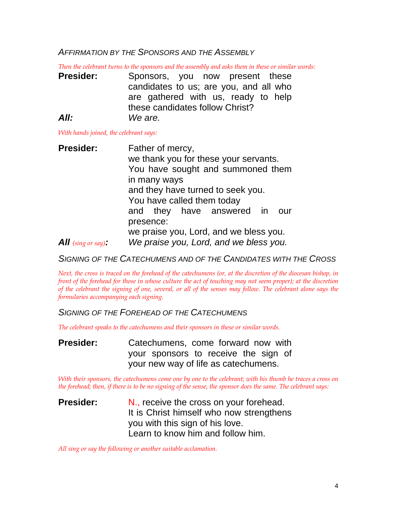## *AFFIRMATION BY THE SPONSORS AND THE ASSEMBLY*

*Then the celebrant turns to the sponsors and the assembly and asks them in these or similar words:* 

**Presider:** Sponsors, you now present these candidates to us; are you, and all who are gathered with us, ready to help these candidates follow Christ? *All: We are.* 

*With hands joined, the celebrant says:* 

| <b>Presider:</b>         | Father of mercy,<br>we thank you for these your servants.<br>You have sought and summoned them |
|--------------------------|------------------------------------------------------------------------------------------------|
|                          | in many ways<br>and they have turned to seek you.<br>You have called them today                |
|                          | and they have answered in<br>our<br>presence:                                                  |
|                          | we praise you, Lord, and we bless you.                                                         |
| <b>All</b> (sing or say) | We praise you, Lord, and we bless you.                                                         |

*SIGNING OF THE CATECHUMENS AND OF THE CANDIDATES WITH THE CROSS*

*Next, the cross is traced on the forehead of the catechumens (or, at the discretion of the diocesan bishop, in front of the forehead for those in whose culture the act of touching may not seem proper); at the discretion of the celebrant the signing of one, several, or all of the senses may follow. The celebrant alone says the formularies accompanying each signing.* 

## *SIGNING OF THE FOREHEAD OF THE CATECHUMENS*

*The celebrant speaks to the catechumens and their sponsors in these or similar words.* 

**Presider:** Catechumens, come forward now with your sponsors to receive the sign of your new way of life as catechumens.

*With their sponsors, the catechumens come one by one to the celebrant; with his thumb he traces a cross on the forehead; then, if there is to be no signing of the sense, the sponsor does the same. The celebrant says:* 

**Presider:** N., receive the cross on your forehead. It is Christ himself who now strengthens you with this sign of his love. Learn to know him and follow him.

*All sing or say the following or another suitable acclamation.*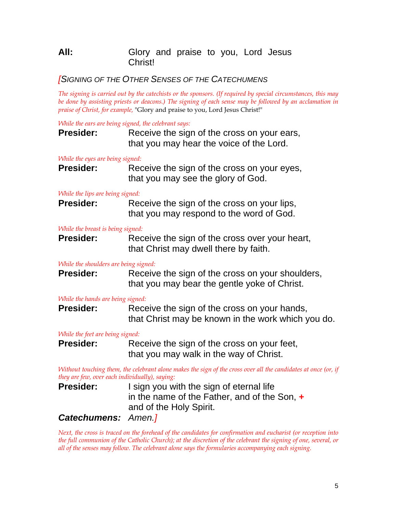## **All:** Glory and praise to you, Lord Jesus Christ!

### *[SIGNING OF THE OTHER SENSES OF THE CATECHUMENS*

*The signing is carried out by the catechists or the sponsors. (If required by special circumstances, this may be done by assisting priests or deacons.) The signing of each sense may be followed by an acclamation in praise of Christ, for example,* "Glory and praise to you, Lord Jesus Christ!"

*While the ears are being signed, the celebrant says:* 

| <b>Presider:</b> | Receive the sign of the cross on your ears, |
|------------------|---------------------------------------------|
|                  | that you may hear the voice of the Lord.    |

*While the eyes are being signed:* 

| <b>Presider:</b> | Receive the sign of the cross on your eyes, |
|------------------|---------------------------------------------|
|                  | that you may see the glory of God.          |

*While the lips are being signed:* 

| <b>Presider:</b> | Receive the sign of the cross on your lips, |
|------------------|---------------------------------------------|
|                  | that you may respond to the word of God.    |

#### *While the breast is being signed:*

**Presider:** Receive the sign of the cross over your heart, that Christ may dwell there by faith.

*While the shoulders are being signed:* 

**Presider:** Receive the sign of the cross on your shoulders, that you may bear the gentle yoke of Christ.

*While the hands are being signed:* 

| <b>Presider:</b> | Receive the sign of the cross on your hands,       |
|------------------|----------------------------------------------------|
|                  | that Christ may be known in the work which you do. |

*While the feet are being signed:* 

**Presider:** Receive the sign of the cross on your feet, that you may walk in the way of Christ.

*Without touching them, the celebrant alone makes the sign of the cross over all the candidates at once (or, if they are few, over each individually), saying:* 

| <b>Presider:</b> | I sign you with the sign of eternal life         |
|------------------|--------------------------------------------------|
|                  | in the name of the Father, and of the Son, $\pm$ |
|                  | and of the Holy Spirit.                          |

## *Catechumens: Amen.]*

*Next, the cross is traced on the forehead of the candidates for confirmation and eucharist (or reception into the full communion of the Catholic Church); at the discretion of the celebrant the signing of one, several, or all of the senses may follow. The celebrant alone says the formularies accompanying each signing.*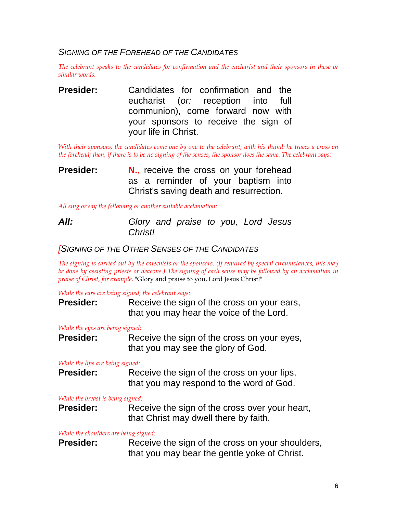## *SIGNING OF THE FOREHEAD OF THE CANDIDATES*

*The celebrant speaks to the candidates for confirmation and the eucharist and their sponsors in these or similar words.* 

**Presider:** Candidates for confirmation and the eucharist (*or:* reception into full communion), come forward now with your sponsors to receive the sign of your life in Christ.

*With their sponsors, the candidates come one by one to the celebrant; with his thumb he traces a cross on the forehead; then, if there is to be no signing of the senses, the sponsor does the same. The celebrant says:* 

## **Presider: N.**, receive the cross on your forehead as a reminder of your baptism into Christ's saving death and resurrection.

*All sing or say the following or another suitable acclamation:* 

## *All: Glory and praise to you, Lord Jesus Christ!*

## *[SIGNING OF THE OTHER SENSES OF THE CANDIDATES*

*The signing is carried out by the catechists or the sponsors. (If required by special circumstances, this may be done by assisting priests or deacons.) The signing of each sense may be followed by an acclamation in praise of Christ, for example,* "Glory and praise to you, Lord Jesus Christ!"

*While the ears are being signed, the celebrant says:* 

| <b>Presider:</b> | Receive the sign of the cross on your ears, |
|------------------|---------------------------------------------|
|                  | that you may hear the voice of the Lord.    |

#### *While the eyes are being signed:*

| <b>Presider:</b> | Receive the sign of the cross on your eyes, |
|------------------|---------------------------------------------|
|                  | that you may see the glory of God.          |

#### *While the lips are being signed:*

**Presider:** Receive the sign of the cross on your lips, that you may respond to the word of God.

*While the breast is being signed:* 

**Presider:** Receive the sign of the cross over your heart, that Christ may dwell there by faith.

#### *While the shoulders are being signed:*

**Presider:** Receive the sign of the cross on your shoulders, that you may bear the gentle yoke of Christ.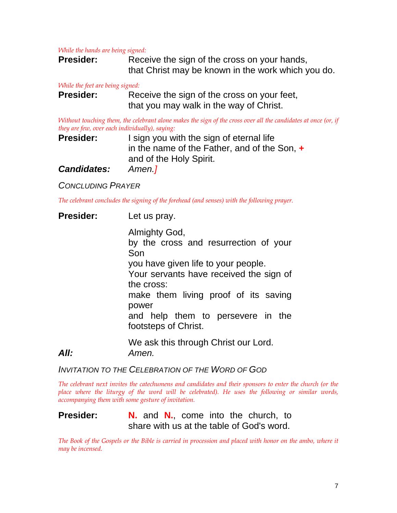*While the hands are being signed:* 

**Presider:** Receive the sign of the cross on your hands, that Christ may be known in the work which you do.

*While the feet are being signed:* 

**Presider:** Receive the sign of the cross on your feet, that you may walk in the way of Christ.

*Without touching them, the celebrant alone makes the sign of the cross over all the candidates at once (or, if they are few, over each individually), saying:* 

**Presider:** I sign you with the sign of eternal life in the name of the Father, and of the Son, **+** and of the Holy Spirit. *Candidates: Amen.]*

*CONCLUDING PRAYER*

*The celebrant concludes the signing of the forehead (and senses) with the following prayer.* 

| <b>Presider:</b> | Let us pray.                                                                                                                                                                                                   |
|------------------|----------------------------------------------------------------------------------------------------------------------------------------------------------------------------------------------------------------|
|                  | Almighty God,<br>by the cross and resurrection of your<br>Son<br>you have given life to your people.<br>Your servants have received the sign of<br>the cross:<br>make them living proof of its saving<br>power |
|                  | and help them to persevere in the<br>footsteps of Christ.                                                                                                                                                      |
| All:             | We ask this through Christ our Lord.<br>Amen.                                                                                                                                                                  |

*INVITATION TO THE CELEBRATION OF THE WORD OF GOD*

*The celebrant next invites the catechumens and candidates and their sponsors to enter the church (or the place where the liturgy of the word will be celebrated). He uses the following or similar words, accompanying them with some gesture of invitation.* 

## **Presider: N.** and **N.**, come into the church, to share with us at the table of God's word.

*The Book of the Gospels or the Bible is carried in procession and placed with honor on the ambo, where it may be incensed.*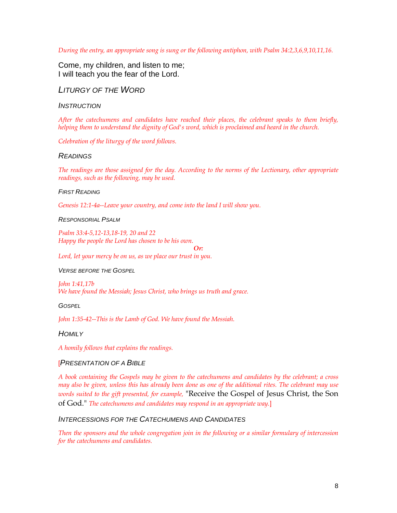*During the entry, an appropriate song is sung or the following antiphon, with Psalm 34:2,3,6,9,10,11,16.*

Come, my children, and listen to me; I will teach you the fear of the Lord.

*LITURGY OF THE WORD*

#### *INSTRUCTION*

*After the catechumens and candidates have reached their places, the celebrant speaks to them briefly, helping them to understand the dignity of God's word, which is proclaimed and heard in the church.* 

*Celebration of the liturgy of the word follows.* 

#### *READINGS*

*The readings are those assigned for the day. According to the norms of the Lectionary, other appropriate readings, such as the following, may be used.* 

#### *FIRST READING*

*Genesis 12:1-4a--Leave your country, and come into the land I will show you.* 

#### *RESPONSORIAL PSALM*

*Psalm 33:4-5,12-13,18-19, 20 and 22 Happy the people the Lord has chosen to be his own.* 

*Or:* 

*Lord, let your mercy be on us, as we place our trust in you.*

*VERSE BEFORE THE GOSPEL*

*John 1:41,17b We have found the Messiah; Jesus Christ, who brings us truth and grace.*

*GOSPEL*

*John 1:35-42--This is the Lamb of God. We have found the Messiah.* 

*HOMILY*

*A homily follows that explains the readings.* 

#### [*PRESENTATION OF A BIBLE*

*A book containing the Gospels may be given to the catechumens and candidates by the celebrant; a cross may also be given, unless this has already been done as one of the additional rites. The celebrant may use words suited to the gift presented, for example,* "Receive the Gospel of Jesus Christ, the Son of God." *The catechumens and candidates may respond in an appropriate way.*]

#### *INTERCESSIONS FOR THE CATECHUMENS AND CANDIDATES*

*Then the sponsors and the whole congregation join in the following or a similar formulary of intercession for the catechumens and candidates.*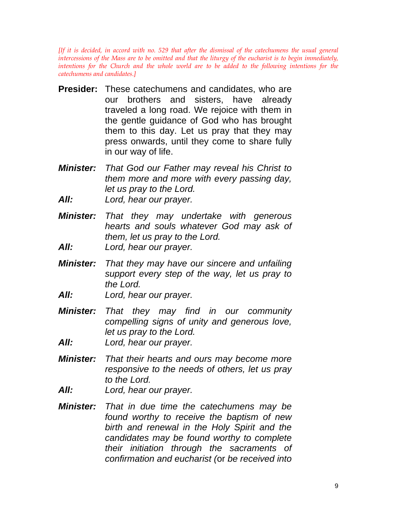*[If it is decided, in accord with no. 529 that after the dismissal of the catechumens the usual general intercessions of the Mass are to be omitted and that the liturgy of the eucharist is to begin immediately, intentions for the Church and the whole world are to be added to the following intentions for the catechumens and candidates.]*

- **Presider:** These catechumens and candidates, who are our brothers and sisters, have already traveled a long road. We rejoice with them in the gentle guidance of God who has brought them to this day. Let us pray that they may press onwards, until they come to share fully in our way of life.
- *Minister: That God our Father may reveal his Christ to them more and more with every passing day, let us pray to the Lord.*
- *All: Lord, hear our prayer.*
- *Minister: That they may undertake with generous hearts and souls whatever God may ask of them, let us pray to the Lord.*
- *All: Lord, hear our prayer.*
- *Minister: That they may have our sincere and unfailing support every step of the way, let us pray to the Lord.*
- *All: Lord, hear our prayer.*
- *Minister: That they may find in our community compelling signs of unity and generous love, let us pray to the Lord.*
- *All: Lord, hear our prayer.*
- *Minister: That their hearts and ours may become more responsive to the needs of others, let us pray to the Lord.*
- *All: Lord, hear our prayer.*
- *Minister: That in due time the catechumens may be found worthy to receive the baptism of new birth and renewal in the Holy Spirit and the candidates may be found worthy to complete their initiation through the sacraments of confirmation and eucharist (*or *be received into*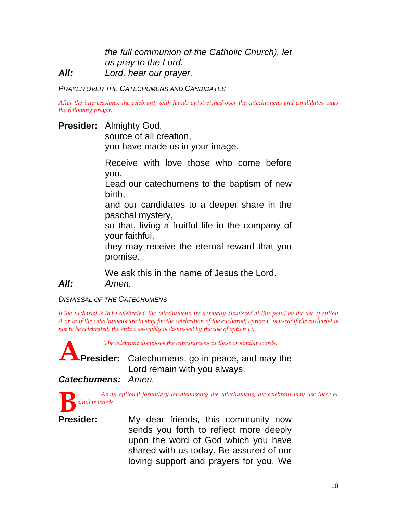*the full communion of the Catholic Church), let us pray to the Lord. All: Lord, hear our prayer.* 

*PRAYER OVER THE CATECHUMENS AND CANDIDATES*

*After the intercessions, the celebrant, with hands outstretched over the catechumens and candidates, says the following prayer.* 

**Presider:** Almighty God, source of all creation, you have made us in your image.

> Receive with love those who come before you.

> Lead our catechumens to the baptism of new birth,

> and our candidates to a deeper share in the paschal mystery,

> so that, living a fruitful life in the company of your faithful,

> they may receive the eternal reward that you promise.

We ask this in the name of Jesus the Lord. *All: Amen.* 

*DISMISSAL OF THE CATECHUMENS*

*If the eucharist is to be celebrated, the catechumens are normally dismissed at this point by the use of option A or B; if the catechumens are to stay for the celebration of the eucharist, option C is used; if the eucharist is not to be celebrated, the entire assembly is dismissed by the use of option D.*



*The celebrant dismisses the catechumens in these or similar words.*<br>**Presider:** Catechumens, go in peace, and may the Lord remain with you always.

*Catechumens: Amen.* 

*As an optional formulary for dismissing the catechumens, the celebrant may use these or similar words.*  **B**

**Pres**

**ider:** My dear friends, this community now sends you forth to reflect more deeply upon the word of God which you have shared with us today. Be assured of our loving support and prayers for you. We